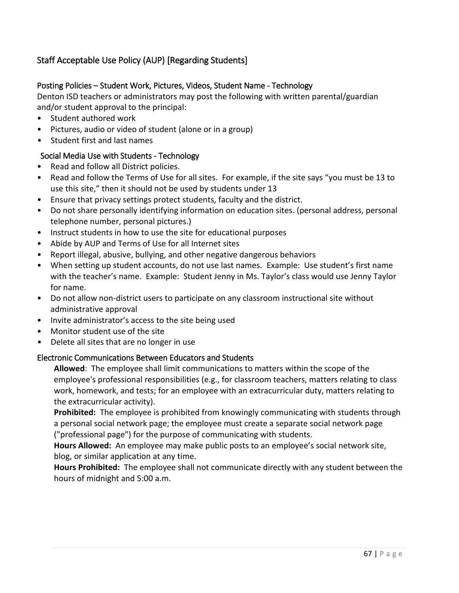# Staff Acceptable Use Policy (AUP) [Regarding Students]

# Posting Policies – Student Work, Pictures, Videos, Student Name - Technology

Denton ISD teachers or administrators may post the following with written parental/guardian and/or student approval to the principal:

- Student authored work
- Pictures, audio or video of student (alone or in a group)
- Student first and last names

# Social Media Use with Students - Technology

- Read and follow all District policies.
- Read and follow the Terms of Use for all sites. For example, if the site says "you must be 13 to use this site," then it should not be used by students under 13
- Ensure that privacy settings protect students, faculty and the district.
- Do not share personally identifying information on education sites. (personal address, personal telephone number, personal pictures.)
- Instruct students in how to use the site for educational purposes
- Abide by AUP and Terms of Use for all Internet sites
- Report illegal, abusive, bullying, and other negative dangerous behaviors
- When setting up student accounts, do not use last names. Example: Use student's first name with the teacher's name. Example: Student Jenny in Ms. Taylor's class would use Jenny Taylor for name.
- Do not allow non-district users to participate on any classroom instructional site without administrative approval
- Invite administrator's access to the site being used
- Monitor student use of the site
- Delete all sites that are no longer in use

### Electronic Communications Between Educators and Students

**Allowed**: The employee shall limit communications to matters within the scope of the employee's professional responsibilities (e.g., for classroom teachers, matters relating to class work, homework, and tests; for an employee with an extracurricular duty, matters relating to the extracurricular activity).

**Prohibited:** The employee is prohibited from knowingly communicating with students through a personal social network page; the employee must create a separate social network page ("professional page") for the purpose of communicating with students.

**Hours Allowed:** An employee may make public posts to an employee's social network site, blog, or similar application at any time.

**Hours Prohibited:** The employee shall not communicate directly with any student between the hours of midnight and 5:00 a.m.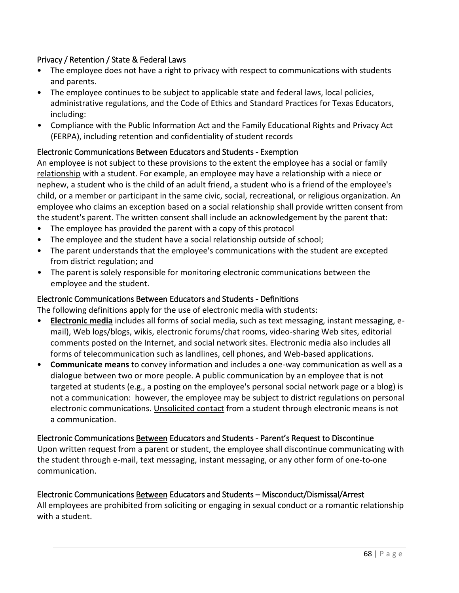# Privacy / Retention / State & Federal Laws

- The employee does not have a right to privacy with respect to communications with students and parents.
- The employee continues to be subject to applicable state and federal laws, local policies, administrative regulations, and the Code of Ethics and Standard Practices for Texas Educators, including:
- Compliance with the Public Information Act and the Family Educational Rights and Privacy Act (FERPA), including retention and confidentiality of student records

# Electronic Communications Between Educators and Students - Exemption

An employee is not subject to these provisions to the extent the employee has a social or family relationship with a student. For example, an employee may have a relationship with a niece or nephew, a student who is the child of an adult friend, a student who is a friend of the employee's child, or a member or participant in the same civic, social, recreational, or religious organization. An employee who claims an exception based on a social relationship shall provide written consent from the student's parent. The written consent shall include an acknowledgement by the parent that:

- The employee has provided the parent with a copy of this protocol
- The employee and the student have a social relationship outside of school;
- The parent understands that the employee's communications with the student are excepted from district regulation; and
- The parent is solely responsible for monitoring electronic communications between the employee and the student.

### Electronic Communications Between Educators and Students - Definitions

The following definitions apply for the use of electronic media with students:

- **Electronic media** includes all forms of social media, such as text messaging, instant messaging, email), Web logs/blogs, wikis, electronic forums/chat rooms, video-sharing Web sites, editorial comments posted on the Internet, and social network sites. Electronic media also includes all forms of telecommunication such as landlines, cell phones, and Web-based applications.
- **Communicate means** to convey information and includes a one-way communication as well as a dialogue between two or more people. A public communication by an employee that is not targeted at students (e.g., a posting on the employee's personal social network page or a blog) is not a communication: however, the employee may be subject to district regulations on personal electronic communications. Unsolicited contact from a student through electronic means is not a communication.

### Electronic Communications Between Educators and Students - Parent's Request to Discontinue

Upon written request from a parent or student, the employee shall discontinue communicating with the student through e-mail, text messaging, instant messaging, or any other form of one-to-one communication.

### Electronic Communications Between Educators and Students – Misconduct/Dismissal/Arrest

All employees are prohibited from soliciting or engaging in sexual conduct or a romantic relationship with a student.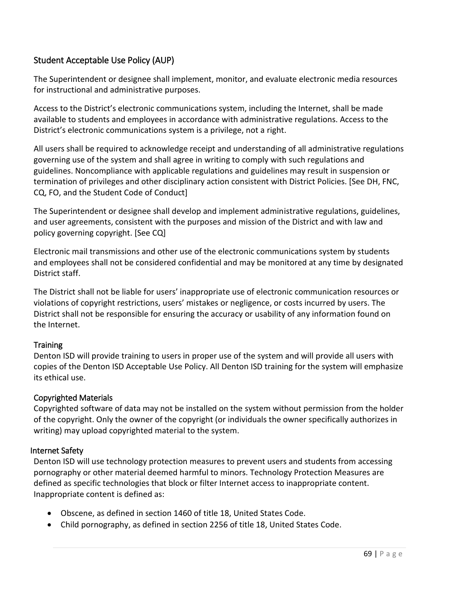# Student Acceptable Use Policy (AUP)

The Superintendent or designee shall implement, monitor, and evaluate electronic media resources for instructional and administrative purposes.

Access to the District's electronic communications system, including the Internet, shall be made available to students and employees in accordance with administrative regulations. Access to the District's electronic communications system is a privilege, not a right.

All users shall be required to acknowledge receipt and understanding of all administrative regulations governing use of the system and shall agree in writing to comply with such regulations and guidelines. Noncompliance with applicable regulations and guidelines may result in suspension or termination of privileges and other disciplinary action consistent with District Policies. [See DH, FNC, CQ, FO, and the Student Code of Conduct]

The Superintendent or designee shall develop and implement administrative regulations, guidelines, and user agreements, consistent with the purposes and mission of the District and with law and policy governing copyright. [See CQ]

Electronic mail transmissions and other use of the electronic communications system by students and employees shall not be considered confidential and may be monitored at any time by designated District staff.

The District shall not be liable for users' inappropriate use of electronic communication resources or violations of copyright restrictions, users' mistakes or negligence, or costs incurred by users. The District shall not be responsible for ensuring the accuracy or usability of any information found on the Internet.

### **Training**

Denton ISD will provide training to users in proper use of the system and will provide all users with copies of the Denton ISD Acceptable Use Policy. All Denton ISD training for the system will emphasize its ethical use.

### Copyrighted Materials

Copyrighted software of data may not be installed on the system without permission from the holder of the copyright. Only the owner of the copyright (or individuals the owner specifically authorizes in writing) may upload copyrighted material to the system.

### Internet Safety

Denton ISD will use technology protection measures to prevent users and students from accessing pornography or other material deemed harmful to minors. Technology Protection Measures are defined as specific technologies that block or filter Internet access to inappropriate content. Inappropriate content is defined as:

- Obscene, as defined in section 1460 of title 18, United States Code.
- Child pornography, as defined in section 2256 of title 18, United States Code.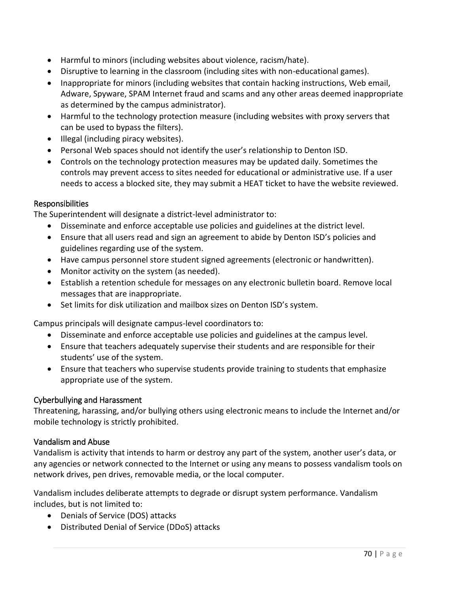- Harmful to minors (including websites about violence, racism/hate).
- Disruptive to learning in the classroom (including sites with non-educational games).
- Inappropriate for minors (including websites that contain hacking instructions, Web email, Adware, Spyware, SPAM Internet fraud and scams and any other areas deemed inappropriate as determined by the campus administrator).
- Harmful to the technology protection measure (including websites with proxy servers that can be used to bypass the filters).
- Illegal (including piracy websites).
- Personal Web spaces should not identify the user's relationship to Denton ISD.
- Controls on the technology protection measures may be updated daily. Sometimes the controls may prevent access to sites needed for educational or administrative use. If a user needs to access a blocked site, they may submit a HEAT ticket to have the website reviewed.

#### Responsibilities

The Superintendent will designate a district-level administrator to:

- Disseminate and enforce acceptable use policies and guidelines at the district level.
- Ensure that all users read and sign an agreement to abide by Denton ISD's policies and guidelines regarding use of the system.
- Have campus personnel store student signed agreements (electronic or handwritten).
- Monitor activity on the system (as needed).
- Establish a retention schedule for messages on any electronic bulletin board. Remove local messages that are inappropriate.
- Set limits for disk utilization and mailbox sizes on Denton ISD's system.

Campus principals will designate campus-level coordinators to:

- Disseminate and enforce acceptable use policies and guidelines at the campus level.
- Ensure that teachers adequately supervise their students and are responsible for their students' use of the system.
- Ensure that teachers who supervise students provide training to students that emphasize appropriate use of the system.

### Cyberbullying and Harassment

Threatening, harassing, and/or bullying others using electronic means to include the Internet and/or mobile technology is strictly prohibited.

### Vandalism and Abuse

Vandalism is activity that intends to harm or destroy any part of the system, another user's data, or any agencies or network connected to the Internet or using any means to possess vandalism tools on network drives, pen drives, removable media, or the local computer.

Vandalism includes deliberate attempts to degrade or disrupt system performance. Vandalism includes, but is not limited to:

- Denials of Service (DOS) attacks
- Distributed Denial of Service (DDoS) attacks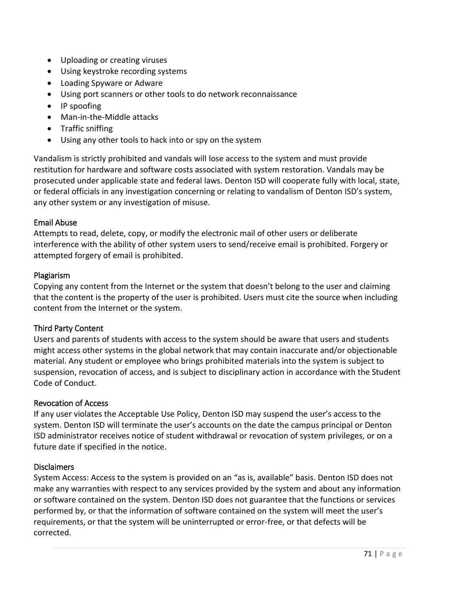- Uploading or creating viruses
- Using keystroke recording systems
- Loading Spyware or Adware
- Using port scanners or other tools to do network reconnaissance
- IP spoofing
- Man-in-the-Middle attacks
- Traffic sniffing
- Using any other tools to hack into or spy on the system

Vandalism is strictly prohibited and vandals will lose access to the system and must provide restitution for hardware and software costs associated with system restoration. Vandals may be prosecuted under applicable state and federal laws. Denton ISD will cooperate fully with local, state, or federal officials in any investigation concerning or relating to vandalism of Denton ISD's system, any other system or any investigation of misuse.

### Email Abuse

Attempts to read, delete, copy, or modify the electronic mail of other users or deliberate interference with the ability of other system users to send/receive email is prohibited. Forgery or attempted forgery of email is prohibited.

#### Plagiarism

Copying any content from the Internet or the system that doesn't belong to the user and claiming that the content is the property of the user is prohibited. Users must cite the source when including content from the Internet or the system.

#### Third Party Content

Users and parents of students with access to the system should be aware that users and students might access other systems in the global network that may contain inaccurate and/or objectionable material. Any student or employee who brings prohibited materials into the system is subject to suspension, revocation of access, and is subject to disciplinary action in accordance with the Student Code of Conduct.

#### Revocation of Access

If any user violates the Acceptable Use Policy, Denton ISD may suspend the user's access to the system. Denton ISD will terminate the user's accounts on the date the campus principal or Denton ISD administrator receives notice of student withdrawal or revocation of system privileges, or on a future date if specified in the notice.

### Disclaimers

System Access: Access to the system is provided on an "as is, available" basis. Denton ISD does not make any warranties with respect to any services provided by the system and about any information or software contained on the system. Denton ISD does not guarantee that the functions or services performed by, or that the information of software contained on the system will meet the user's requirements, or that the system will be uninterrupted or error-free, or that defects will be corrected.